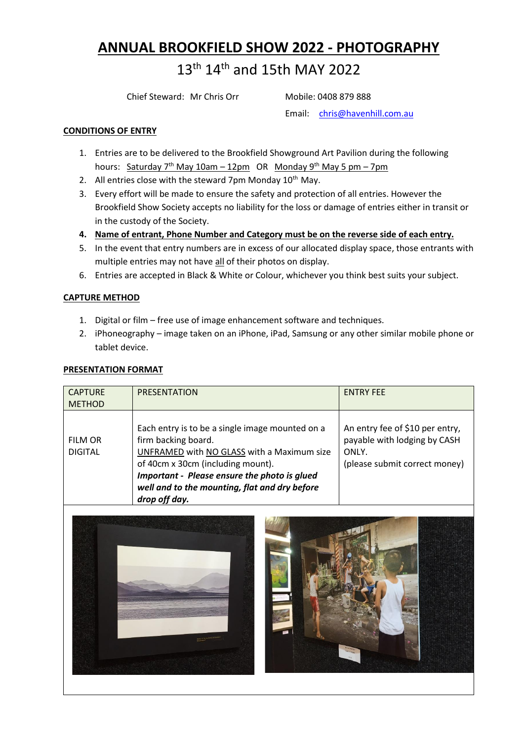## **ANNUAL BROOKFIELD SHOW 2022 - PHOTOGRAPHY**

# 13<sup>th</sup> 14<sup>th</sup> and 15th MAY 2022

Chief Steward: Mr Chris Orr Mobile: 0408 879 888

Email: [chris@havenhill.com.au](mailto:chris@havenhill.com.au)

## **CONDITIONS OF ENTRY**

- 1. Entries are to be delivered to the Brookfield Showground Art Pavilion during the following hours: Saturday 7<sup>th</sup> May 10am – 12pm OR Monday 9<sup>th</sup> May 5 pm – 7pm
- 2. All entries close with the steward 7pm Monday  $10^{th}$  May.
- 3. Every effort will be made to ensure the safety and protection of all entries. However the Brookfield Show Society accepts no liability for the loss or damage of entries either in transit or in the custody of the Society.
- **4. Name of entrant, Phone Number and Category must be on the reverse side of each entry.**
- 5. In the event that entry numbers are in excess of our allocated display space, those entrants with multiple entries may not have all of their photos on display.
- 6. Entries are accepted in Black & White or Colour, whichever you think best suits your subject.

## **CAPTURE METHOD**

- 1. Digital or film free use of image enhancement software and techniques.
- 2. iPhoneography image taken on an iPhone, iPad, Samsung or any other similar mobile phone or tablet device.

## **PRESENTATION FORMAT**

| <b>CAPTURE</b><br><b>METHOD</b>  | PRESENTATION                                                                                                                                                                                                                                                                | <b>ENTRY FEE</b>                                                                                          |
|----------------------------------|-----------------------------------------------------------------------------------------------------------------------------------------------------------------------------------------------------------------------------------------------------------------------------|-----------------------------------------------------------------------------------------------------------|
| <b>FILM OR</b><br><b>DIGITAL</b> | Each entry is to be a single image mounted on a<br>firm backing board.<br>UNFRAMED with NO GLASS with a Maximum size<br>of 40cm x 30cm (including mount).<br>Important - Please ensure the photo is glued<br>well and to the mounting, flat and dry before<br>drop off day. | An entry fee of \$10 per entry,<br>payable with lodging by CASH<br>ONLY.<br>(please submit correct money) |